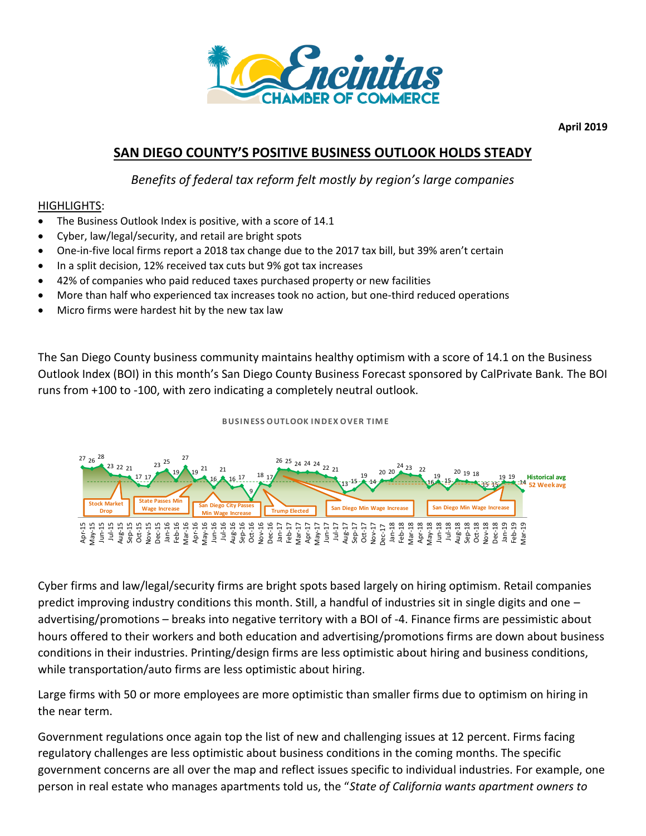

**April 2019**

# **SAN DIEGO COUNTY'S POSITIVE BUSINESS OUTLOOK HOLDS STEADY**

*Benefits of federal tax reform felt mostly by region's large companies*

## HIGHLIGHTS:

- The Business Outlook Index is positive, with a score of 14.1
- Cyber, law/legal/security, and retail are bright spots
- One-in-five local firms report a 2018 tax change due to the 2017 tax bill, but 39% aren't certain
- In a split decision, 12% received tax cuts but 9% got tax increases
- 42% of companies who paid reduced taxes purchased property or new facilities
- More than half who experienced tax increases took no action, but one-third reduced operations
- Micro firms were hardest hit by the new tax law

The San Diego County business community maintains healthy optimism with a score of 14.1 on the Business Outlook Index (BOI) in this month's San Diego County Business Forecast sponsored by CalPrivate Bank. The BOI runs from +100 to -100, with zero indicating a completely neutral outlook.

## **B USIN ESS OUTLOOK IN DEX OVER TIM E**



Cyber firms and law/legal/security firms are bright spots based largely on hiring optimism. Retail companies predict improving industry conditions this month. Still, a handful of industries sit in single digits and one – advertising/promotions – breaks into negative territory with a BOI of -4. Finance firms are pessimistic about hours offered to their workers and both education and advertising/promotions firms are down about business conditions in their industries. Printing/design firms are less optimistic about hiring and business conditions, while transportation/auto firms are less optimistic about hiring. person in their industries. Pinting design firms are less optimistic about hising. Since a particular person in real estate who manages apartments told us, the "*State of California wants top cherence* person in real estat

Large firms with 50 or more employees are more optimistic than smaller firms due to optimism on hiring in the near term.

Government regulations once again top the list of new and challenging issues at 12 percent. Firms facing regulatory challenges are less optimistic about business conditions in the coming months. The specific government concerns are all over the map and reflect issues specific to individual industries. For example, one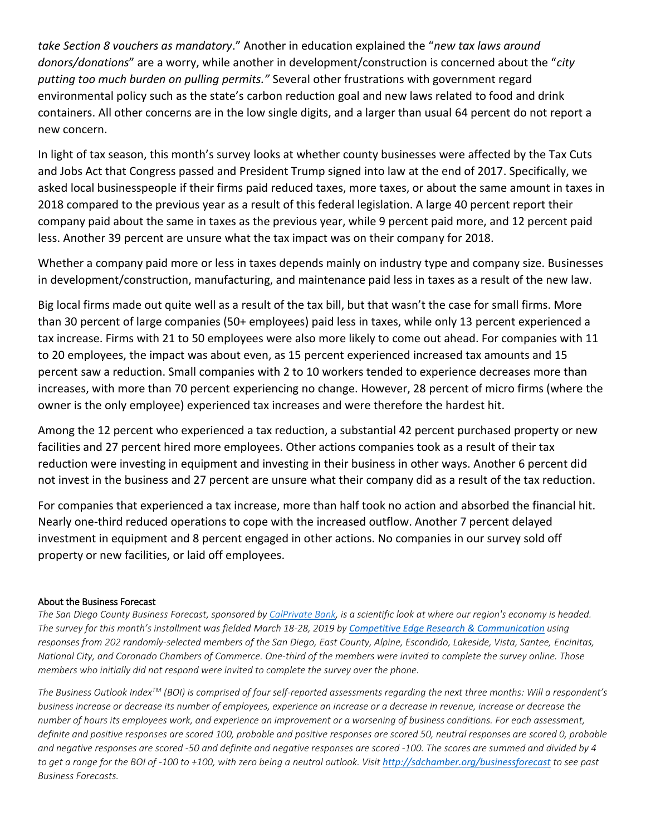*take Section 8 vouchers as mandatory*." Another in education explained the "*new tax laws around donors/donations*" are a worry, while another in development/construction is concerned about the "*city putting too much burden on pulling permits."* Several other frustrations with government regard environmental policy such as the state's carbon reduction goal and new laws related to food and drink containers. All other concerns are in the low single digits, and a larger than usual 64 percent do not report a new concern.

In light of tax season, this month's survey looks at whether county businesses were affected by the Tax Cuts and Jobs Act that Congress passed and President Trump signed into law at the end of 2017. Specifically, we asked local businesspeople if their firms paid reduced taxes, more taxes, or about the same amount in taxes in 2018 compared to the previous year as a result of this federal legislation. A large 40 percent report their company paid about the same in taxes as the previous year, while 9 percent paid more, and 12 percent paid less. Another 39 percent are unsure what the tax impact was on their company for 2018.

Whether a company paid more or less in taxes depends mainly on industry type and company size. Businesses in development/construction, manufacturing, and maintenance paid less in taxes as a result of the new law.

Big local firms made out quite well as a result of the tax bill, but that wasn't the case for small firms. More than 30 percent of large companies (50+ employees) paid less in taxes, while only 13 percent experienced a tax increase. Firms with 21 to 50 employees were also more likely to come out ahead. For companies with 11 to 20 employees, the impact was about even, as 15 percent experienced increased tax amounts and 15 percent saw a reduction. Small companies with 2 to 10 workers tended to experience decreases more than increases, with more than 70 percent experiencing no change. However, 28 percent of micro firms (where the owner is the only employee) experienced tax increases and were therefore the hardest hit.

Among the 12 percent who experienced a tax reduction, a substantial 42 percent purchased property or new facilities and 27 percent hired more employees. Other actions companies took as a result of their tax reduction were investing in equipment and investing in their business in other ways. Another 6 percent did not invest in the business and 27 percent are unsure what their company did as a result of the tax reduction.

For companies that experienced a tax increase, more than half took no action and absorbed the financial hit. Nearly one-third reduced operations to cope with the increased outflow. Another 7 percent delayed investment in equipment and 8 percent engaged in other actions. No companies in our survey sold off property or new facilities, or laid off employees.

## About the Business Forecast

*The San Diego County Business Forecast, sponsored b[y CalPrivate Bank,](https://www.sandiegoprivatebank.net/) is a scientific look at where our region's economy is headed. The survey for this month's installment was fielded March 18-28, 2019 by [Competitive Edge Research](http://cerc.net/) & Communication using responses from 202 randomly-selected members of the San Diego, East County, Alpine, Escondido, Lakeside, Vista, Santee, Encinitas, National City, and Coronado Chambers of Commerce. One-third of the members were invited to complete the survey online. Those members who initially did not respond were invited to complete the survey over the phone.*

*The Business Outlook IndexTM (BOI) is comprised of four self-reported assessments regarding the next three months: Will a respondent's business increase or decrease its number of employees, experience an increase or a decrease in revenue, increase or decrease the number of hours its employees work, and experience an improvement or a worsening of business conditions. For each assessment, definite and positive responses are scored 100, probable and positive responses are scored 50, neutral responses are scored 0, probable and negative responses are scored -50 and definite and negative responses are scored -100. The scores are summed and divided by 4*  to get a range for the BOI of -100 to +100, with zero being a neutral outlook. Visit <http://sdchamber.org/businessforecast> to see past *Business Forecasts.*